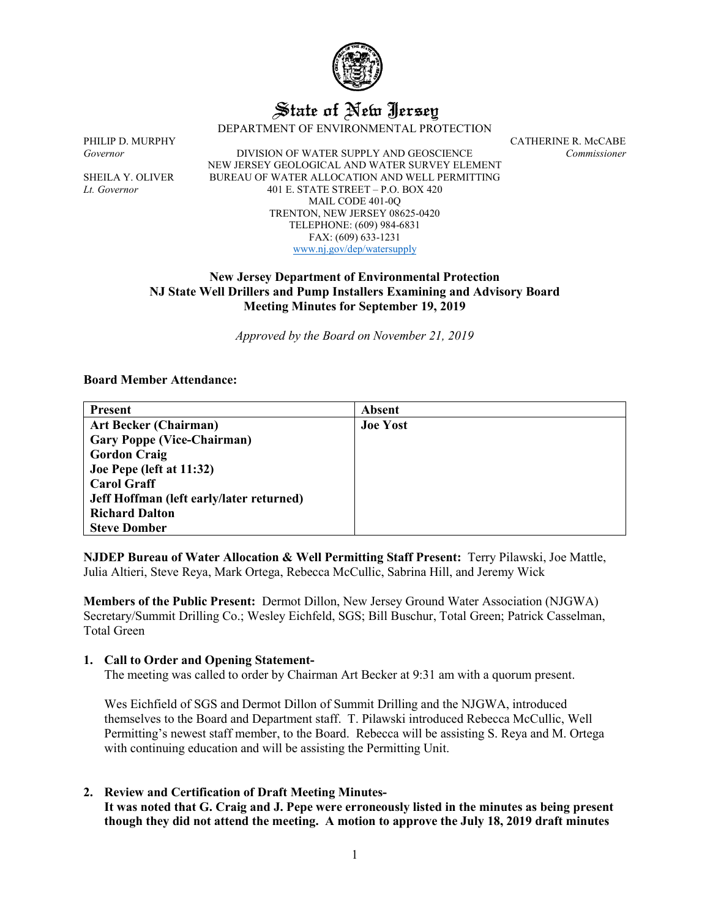

# State of New Jersey

DEPARTMENT OF ENVIRONMENTAL PROTECTION

PHILIP D. MURPHY CATHERINE R. McCABE<br>Governor DIVISION OF WATER SUPPLY AND GEOSCIENCE Commissioner *Governor* DIVISION OF WATER SUPPLY AND GEOSCIENCE *Commissioner* NEW JERSEY GEOLOGICAL AND WATER SURVEY ELEMENT SHEILA Y. OLIVER BUREAU OF WATER ALLOCATION AND WELL PERMITTING *Lt. Governor* 401 E. STATE STREET – P.O. BOX 420 MAIL CODE 401-0Q TRENTON, NEW JERSEY 08625-0420 TELEPHONE: (609) 984-6831 FAX: (609) 633-1231 [www.nj.gov/dep/watersupply](http://www.nj.gov/dep/watersupply)

# **New Jersey Department of Environmental Protection NJ State Well Drillers and Pump Installers Examining and Advisory Board Meeting Minutes for September 19, 2019**

*Approved by the Board on November 21, 2019*

#### **Board Member Attendance:**

| Present                                  | <b>Absent</b>   |
|------------------------------------------|-----------------|
| <b>Art Becker (Chairman)</b>             | <b>Joe Yost</b> |
| <b>Gary Poppe (Vice-Chairman)</b>        |                 |
| <b>Gordon Craig</b>                      |                 |
| Joe Pepe (left at 11:32)                 |                 |
| <b>Carol Graff</b>                       |                 |
| Jeff Hoffman (left early/later returned) |                 |
| <b>Richard Dalton</b>                    |                 |
| <b>Steve Domber</b>                      |                 |

**NJDEP Bureau of Water Allocation & Well Permitting Staff Present:** Terry Pilawski, Joe Mattle, Julia Altieri, Steve Reya, Mark Ortega, Rebecca McCullic, Sabrina Hill, and Jeremy Wick

**Members of the Public Present:** Dermot Dillon, New Jersey Ground Water Association (NJGWA) Secretary/Summit Drilling Co.; Wesley Eichfeld, SGS; Bill Buschur, Total Green; Patrick Casselman, Total Green

#### **1. Call to Order and Opening Statement-**

The meeting was called to order by Chairman Art Becker at 9:31 am with a quorum present.

Wes Eichfield of SGS and Dermot Dillon of Summit Drilling and the NJGWA, introduced themselves to the Board and Department staff. T. Pilawski introduced Rebecca McCullic, Well Permitting's newest staff member, to the Board. Rebecca will be assisting S. Reya and M. Ortega with continuing education and will be assisting the Permitting Unit.

# **2. Review and Certification of Draft Meeting Minutes-**

**It was noted that G. Craig and J. Pepe were erroneously listed in the minutes as being present though they did not attend the meeting. A motion to approve the July 18, 2019 draft minutes**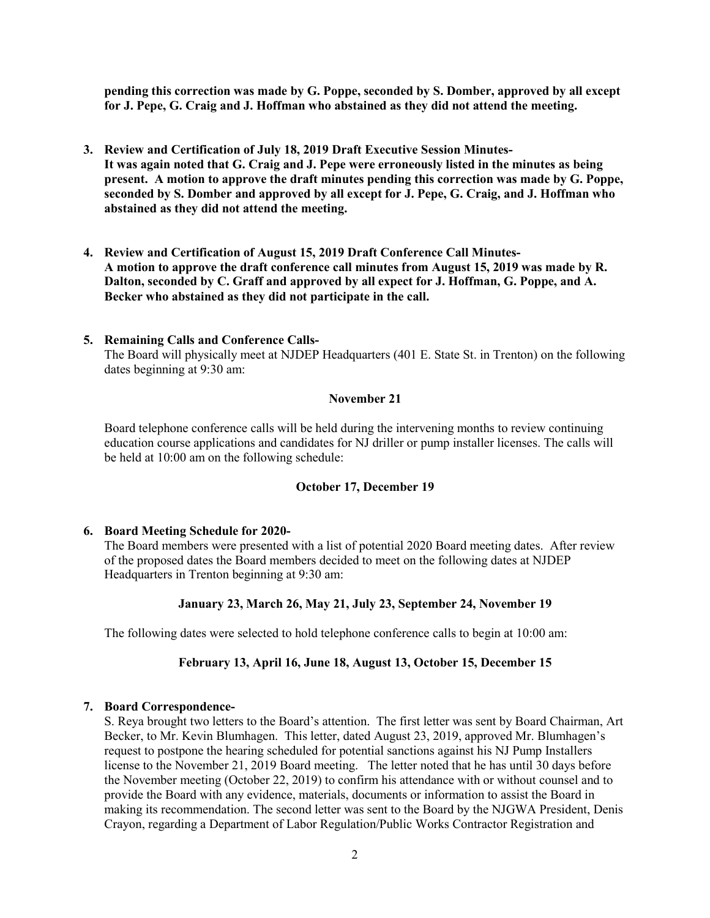**pending this correction was made by G. Poppe, seconded by S. Domber, approved by all except for J. Pepe, G. Craig and J. Hoffman who abstained as they did not attend the meeting.**

- **3. Review and Certification of July 18, 2019 Draft Executive Session Minutes-It was again noted that G. Craig and J. Pepe were erroneously listed in the minutes as being present. A motion to approve the draft minutes pending this correction was made by G. Poppe, seconded by S. Domber and approved by all except for J. Pepe, G. Craig, and J. Hoffman who abstained as they did not attend the meeting.**
- **4. Review and Certification of August 15, 2019 Draft Conference Call Minutes-A motion to approve the draft conference call minutes from August 15, 2019 was made by R. Dalton, seconded by C. Graff and approved by all expect for J. Hoffman, G. Poppe, and A. Becker who abstained as they did not participate in the call.**
- **5. Remaining Calls and Conference Calls-**The Board will physically meet at NJDEP Headquarters (401 E. State St. in Trenton) on the following dates beginning at 9:30 am:

#### **November 21**

Board telephone conference calls will be held during the intervening months to review continuing education course applications and candidates for NJ driller or pump installer licenses. The calls will be held at 10:00 am on the following schedule:

#### **October 17, December 19**

#### **6. Board Meeting Schedule for 2020-**

The Board members were presented with a list of potential 2020 Board meeting dates. After review of the proposed dates the Board members decided to meet on the following dates at NJDEP Headquarters in Trenton beginning at 9:30 am:

#### **January 23, March 26, May 21, July 23, September 24, November 19**

The following dates were selected to hold telephone conference calls to begin at 10:00 am:

# **February 13, April 16, June 18, August 13, October 15, December 15**

#### **7. Board Correspondence-**

S. Reya brought two letters to the Board's attention. The first letter was sent by Board Chairman, Art Becker, to Mr. Kevin Blumhagen. This letter, dated August 23, 2019, approved Mr. Blumhagen's request to postpone the hearing scheduled for potential sanctions against his NJ Pump Installers license to the November 21, 2019 Board meeting. The letter noted that he has until 30 days before the November meeting (October 22, 2019) to confirm his attendance with or without counsel and to provide the Board with any evidence, materials, documents or information to assist the Board in making its recommendation. The second letter was sent to the Board by the NJGWA President, Denis Crayon, regarding a Department of Labor Regulation/Public Works Contractor Registration and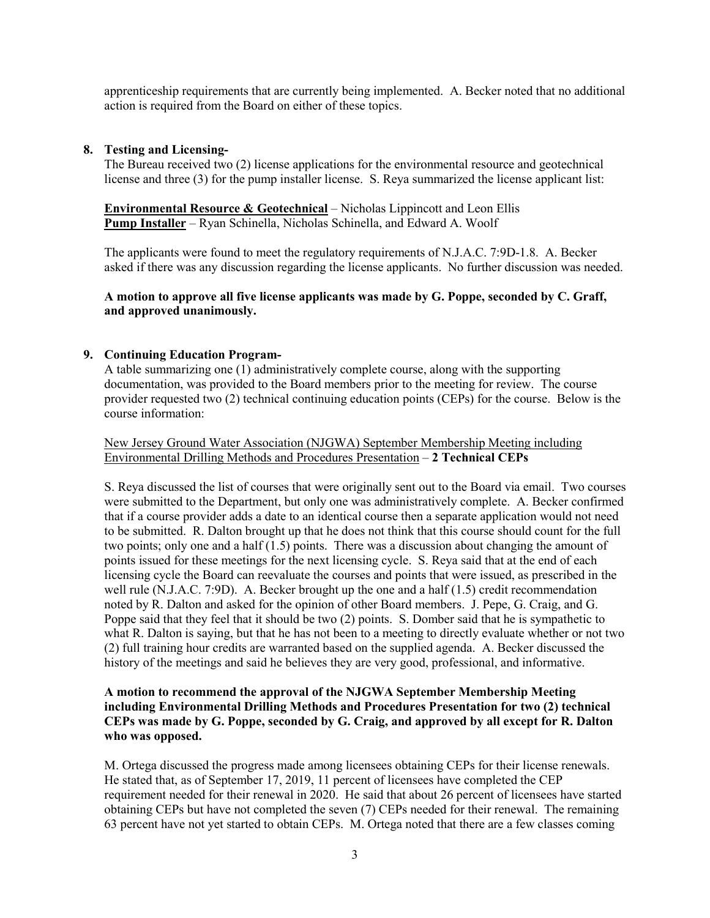apprenticeship requirements that are currently being implemented. A. Becker noted that no additional action is required from the Board on either of these topics.

# **8. Testing and Licensing-**

The Bureau received two (2) license applications for the environmental resource and geotechnical license and three (3) for the pump installer license. S. Reya summarized the license applicant list:

**Environmental Resource & Geotechnical** – Nicholas Lippincott and Leon Ellis **Pump Installer** – Ryan Schinella, Nicholas Schinella, and Edward A. Woolf

The applicants were found to meet the regulatory requirements of N.J.A.C. 7:9D-1.8. A. Becker asked if there was any discussion regarding the license applicants. No further discussion was needed.

# **A motion to approve all five license applicants was made by G. Poppe, seconded by C. Graff, and approved unanimously.**

#### **9. Continuing Education Program-**

A table summarizing one (1) administratively complete course, along with the supporting documentation, was provided to the Board members prior to the meeting for review. The course provider requested two (2) technical continuing education points (CEPs) for the course. Below is the course information:

New Jersey Ground Water Association (NJGWA) September Membership Meeting including Environmental Drilling Methods and Procedures Presentation – **2 Technical CEPs**

S. Reya discussed the list of courses that were originally sent out to the Board via email. Two courses were submitted to the Department, but only one was administratively complete. A. Becker confirmed that if a course provider adds a date to an identical course then a separate application would not need to be submitted. R. Dalton brought up that he does not think that this course should count for the full two points; only one and a half (1.5) points. There was a discussion about changing the amount of points issued for these meetings for the next licensing cycle. S. Reya said that at the end of each licensing cycle the Board can reevaluate the courses and points that were issued, as prescribed in the well rule (N.J.A.C. 7:9D). A. Becker brought up the one and a half  $(1.5)$  credit recommendation noted by R. Dalton and asked for the opinion of other Board members. J. Pepe, G. Craig, and G. Poppe said that they feel that it should be two (2) points. S. Domber said that he is sympathetic to what R. Dalton is saying, but that he has not been to a meeting to directly evaluate whether or not two (2) full training hour credits are warranted based on the supplied agenda. A. Becker discussed the history of the meetings and said he believes they are very good, professional, and informative.

# **A motion to recommend the approval of the NJGWA September Membership Meeting including Environmental Drilling Methods and Procedures Presentation for two (2) technical CEPs was made by G. Poppe, seconded by G. Craig, and approved by all except for R. Dalton who was opposed.**

M. Ortega discussed the progress made among licensees obtaining CEPs for their license renewals. He stated that, as of September 17, 2019, 11 percent of licensees have completed the CEP requirement needed for their renewal in 2020. He said that about 26 percent of licensees have started obtaining CEPs but have not completed the seven (7) CEPs needed for their renewal. The remaining 63 percent have not yet started to obtain CEPs. M. Ortega noted that there are a few classes coming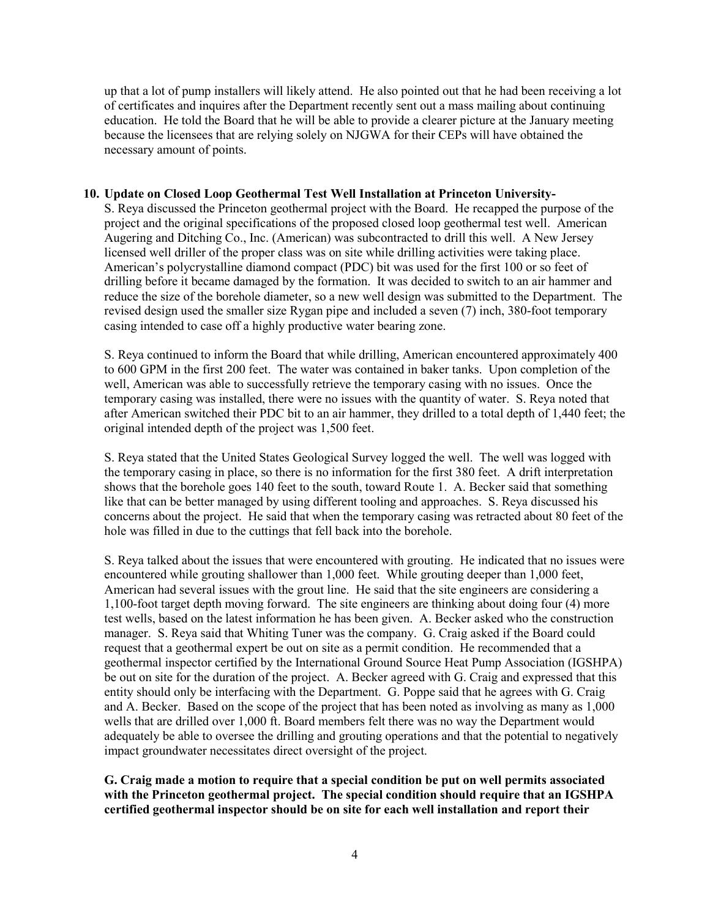up that a lot of pump installers will likely attend. He also pointed out that he had been receiving a lot of certificates and inquires after the Department recently sent out a mass mailing about continuing education. He told the Board that he will be able to provide a clearer picture at the January meeting because the licensees that are relying solely on NJGWA for their CEPs will have obtained the necessary amount of points.

#### **10. Update on Closed Loop Geothermal Test Well Installation at Princeton University-**

S. Reya discussed the Princeton geothermal project with the Board. He recapped the purpose of the project and the original specifications of the proposed closed loop geothermal test well. American Augering and Ditching Co., Inc. (American) was subcontracted to drill this well. A New Jersey licensed well driller of the proper class was on site while drilling activities were taking place. American's polycrystalline diamond compact (PDC) bit was used for the first 100 or so feet of drilling before it became damaged by the formation. It was decided to switch to an air hammer and reduce the size of the borehole diameter, so a new well design was submitted to the Department. The revised design used the smaller size Rygan pipe and included a seven (7) inch, 380-foot temporary casing intended to case off a highly productive water bearing zone.

S. Reya continued to inform the Board that while drilling, American encountered approximately 400 to 600 GPM in the first 200 feet. The water was contained in baker tanks. Upon completion of the well, American was able to successfully retrieve the temporary casing with no issues. Once the temporary casing was installed, there were no issues with the quantity of water. S. Reya noted that after American switched their PDC bit to an air hammer, they drilled to a total depth of 1,440 feet; the original intended depth of the project was 1,500 feet.

S. Reya stated that the United States Geological Survey logged the well. The well was logged with the temporary casing in place, so there is no information for the first 380 feet. A drift interpretation shows that the borehole goes 140 feet to the south, toward Route 1. A. Becker said that something like that can be better managed by using different tooling and approaches. S. Reya discussed his concerns about the project. He said that when the temporary casing was retracted about 80 feet of the hole was filled in due to the cuttings that fell back into the borehole.

S. Reya talked about the issues that were encountered with grouting. He indicated that no issues were encountered while grouting shallower than 1,000 feet. While grouting deeper than 1,000 feet, American had several issues with the grout line. He said that the site engineers are considering a 1,100-foot target depth moving forward. The site engineers are thinking about doing four (4) more test wells, based on the latest information he has been given. A. Becker asked who the construction manager. S. Reya said that Whiting Tuner was the company. G. Craig asked if the Board could request that a geothermal expert be out on site as a permit condition. He recommended that a geothermal inspector certified by the International Ground Source Heat Pump Association (IGSHPA) be out on site for the duration of the project. A. Becker agreed with G. Craig and expressed that this entity should only be interfacing with the Department. G. Poppe said that he agrees with G. Craig and A. Becker. Based on the scope of the project that has been noted as involving as many as 1,000 wells that are drilled over 1,000 ft. Board members felt there was no way the Department would adequately be able to oversee the drilling and grouting operations and that the potential to negatively impact groundwater necessitates direct oversight of the project.

**G. Craig made a motion to require that a special condition be put on well permits associated with the Princeton geothermal project. The special condition should require that an IGSHPA certified geothermal inspector should be on site for each well installation and report their**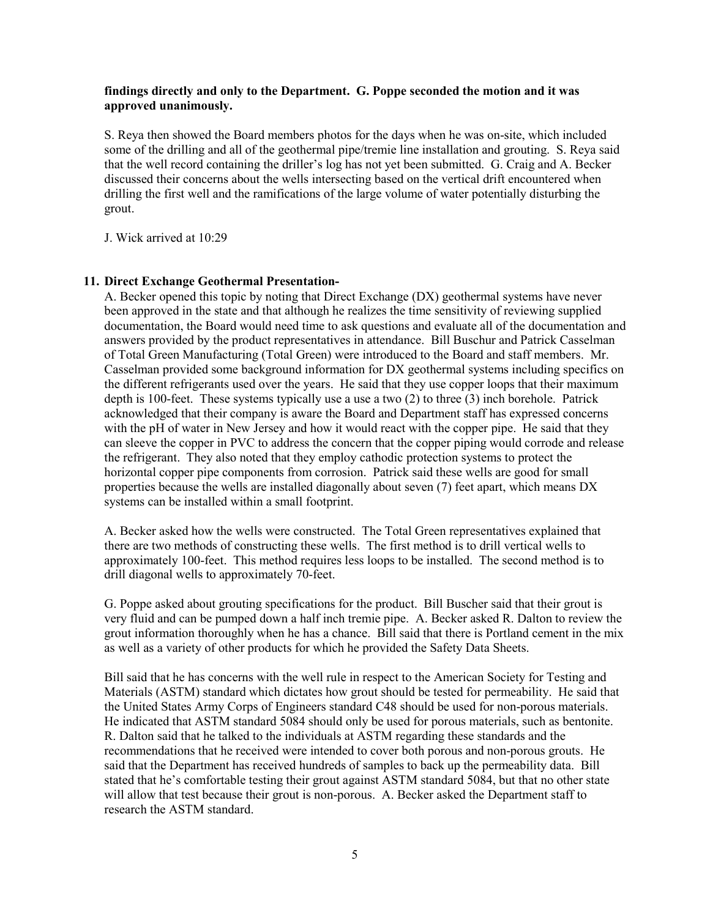#### **findings directly and only to the Department. G. Poppe seconded the motion and it was approved unanimously.**

S. Reya then showed the Board members photos for the days when he was on-site, which included some of the drilling and all of the geothermal pipe/tremie line installation and grouting. S. Reya said that the well record containing the driller's log has not yet been submitted. G. Craig and A. Becker discussed their concerns about the wells intersecting based on the vertical drift encountered when drilling the first well and the ramifications of the large volume of water potentially disturbing the grout.

J. Wick arrived at 10:29

# **11. Direct Exchange Geothermal Presentation-**

A. Becker opened this topic by noting that Direct Exchange (DX) geothermal systems have never been approved in the state and that although he realizes the time sensitivity of reviewing supplied documentation, the Board would need time to ask questions and evaluate all of the documentation and answers provided by the product representatives in attendance. Bill Buschur and Patrick Casselman of Total Green Manufacturing (Total Green) were introduced to the Board and staff members. Mr. Casselman provided some background information for DX geothermal systems including specifics on the different refrigerants used over the years. He said that they use copper loops that their maximum depth is 100-feet. These systems typically use a use a two (2) to three (3) inch borehole. Patrick acknowledged that their company is aware the Board and Department staff has expressed concerns with the pH of water in New Jersey and how it would react with the copper pipe. He said that they can sleeve the copper in PVC to address the concern that the copper piping would corrode and release the refrigerant. They also noted that they employ cathodic protection systems to protect the horizontal copper pipe components from corrosion. Patrick said these wells are good for small properties because the wells are installed diagonally about seven (7) feet apart, which means DX systems can be installed within a small footprint.

A. Becker asked how the wells were constructed. The Total Green representatives explained that there are two methods of constructing these wells. The first method is to drill vertical wells to approximately 100-feet. This method requires less loops to be installed. The second method is to drill diagonal wells to approximately 70-feet.

G. Poppe asked about grouting specifications for the product. Bill Buscher said that their grout is very fluid and can be pumped down a half inch tremie pipe. A. Becker asked R. Dalton to review the grout information thoroughly when he has a chance. Bill said that there is Portland cement in the mix as well as a variety of other products for which he provided the Safety Data Sheets.

Bill said that he has concerns with the well rule in respect to the American Society for Testing and Materials (ASTM) standard which dictates how grout should be tested for permeability. He said that the United States Army Corps of Engineers standard C48 should be used for non-porous materials. He indicated that ASTM standard 5084 should only be used for porous materials, such as bentonite. R. Dalton said that he talked to the individuals at ASTM regarding these standards and the recommendations that he received were intended to cover both porous and non-porous grouts. He said that the Department has received hundreds of samples to back up the permeability data. Bill stated that he's comfortable testing their grout against ASTM standard 5084, but that no other state will allow that test because their grout is non-porous. A. Becker asked the Department staff to research the ASTM standard.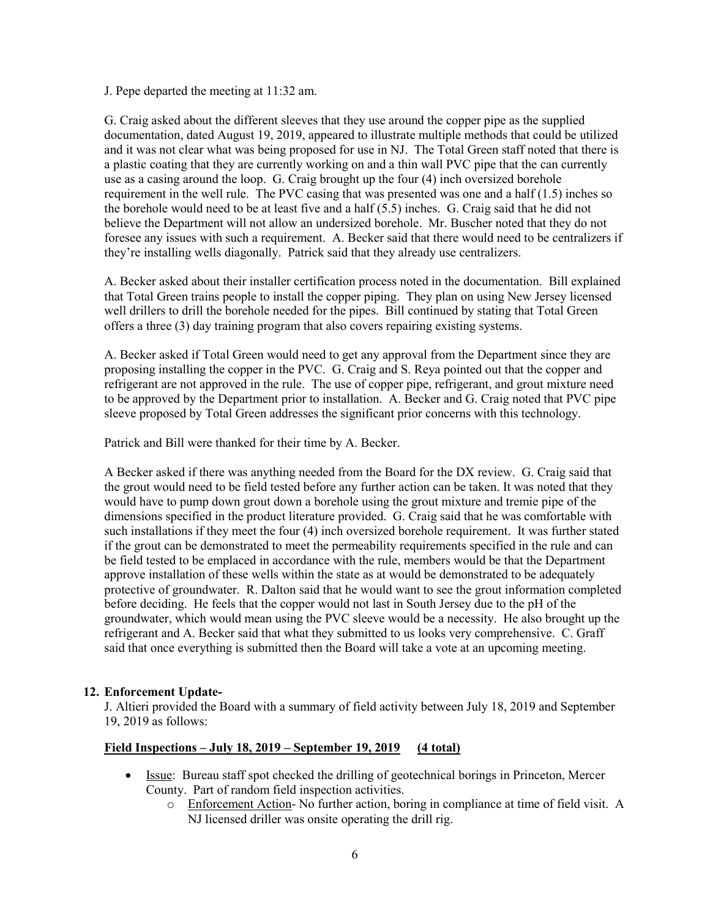#### J. Pepe departed the meeting at 11:32 am.

G. Craig asked about the different sleeves that they use around the copper pipe as the supplied documentation, dated August 19, 2019, appeared to illustrate multiple methods that could be utilized and it was not clear what was being proposed for use in NJ. The Total Green staff noted that there is a plastic coating that they are currently working on and a thin wall PVC pipe that the can currently use as a casing around the loop. G. Craig brought up the four (4) inch oversized borehole requirement in the well rule. The PVC casing that was presented was one and a half (1.5) inches so the borehole would need to be at least five and a half (5.5) inches. G. Craig said that he did not believe the Department will not allow an undersized borehole. Mr. Buscher noted that they do not foresee any issues with such a requirement. A. Becker said that there would need to be centralizers if they're installing wells diagonally. Patrick said that they already use centralizers.

A. Becker asked about their installer certification process noted in the documentation. Bill explained that Total Green trains people to install the copper piping. They plan on using New Jersey licensed well drillers to drill the borehole needed for the pipes. Bill continued by stating that Total Green offers a three (3) day training program that also covers repairing existing systems.

A. Becker asked if Total Green would need to get any approval from the Department since they are proposing installing the copper in the PVC. G. Craig and S. Reya pointed out that the copper and refrigerant are not approved in the rule. The use of copper pipe, refrigerant, and grout mixture need to be approved by the Department prior to installation. A. Becker and G. Craig noted that PVC pipe sleeve proposed by Total Green addresses the significant prior concerns with this technology.

Patrick and Bill were thanked for their time by A. Becker.

A Becker asked if there was anything needed from the Board for the DX review. G. Craig said that the grout would need to be field tested before any further action can be taken. It was noted that they would have to pump down grout down a borehole using the grout mixture and tremie pipe of the dimensions specified in the product literature provided. G. Craig said that he was comfortable with such installations if they meet the four (4) inch oversized borehole requirement. It was further stated if the grout can be demonstrated to meet the permeability requirements specified in the rule and can be field tested to be emplaced in accordance with the rule, members would be that the Department approve installation of these wells within the state as at would be demonstrated to be adequately protective of groundwater. R. Dalton said that he would want to see the grout information completed before deciding. He feels that the copper would not last in South Jersey due to the pH of the groundwater, which would mean using the PVC sleeve would be a necessity. He also brought up the refrigerant and A. Becker said that what they submitted to us looks very comprehensive. C. Graff said that once everything is submitted then the Board will take a vote at an upcoming meeting.

# **12. Enforcement Update-**

J. Altieri provided the Board with a summary of field activity between July 18, 2019 and September 19, 2019 as follows:

#### **Field Inspections – July 18, 2019 – September 19, 2019 (4 total)**

- Issue: Bureau staff spot checked the drilling of geotechnical borings in Princeton, Mercer County. Part of random field inspection activities.
	- o Enforcement Action- No further action, boring in compliance at time of field visit. A NJ licensed driller was onsite operating the drill rig.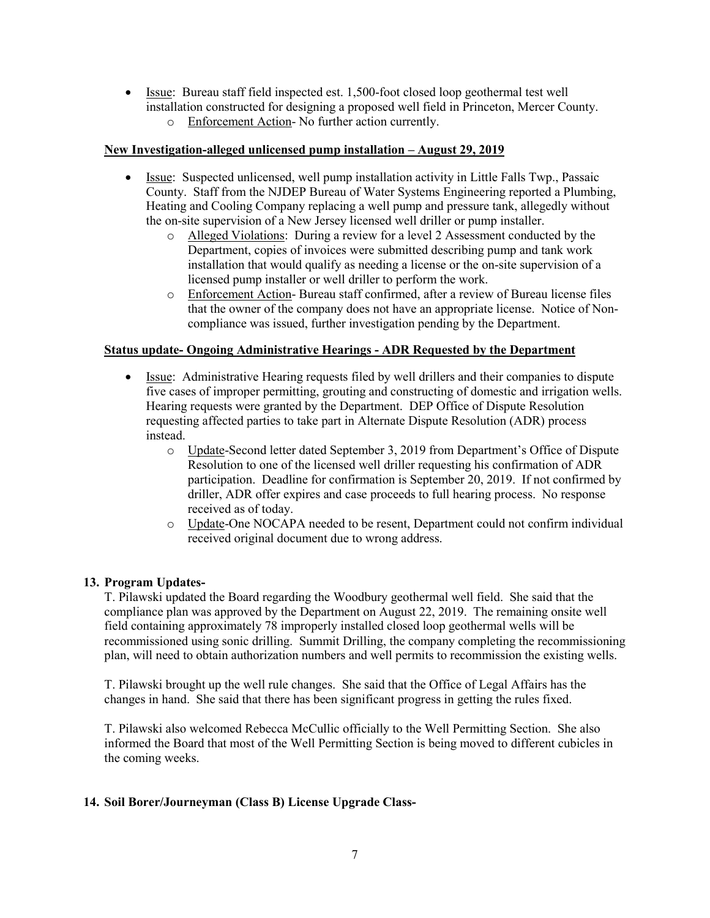- Issue: Bureau staff field inspected est. 1,500-foot closed loop geothermal test well installation constructed for designing a proposed well field in Princeton, Mercer County.
	- o Enforcement Action- No further action currently.

# **New Investigation-alleged unlicensed pump installation – August 29, 2019**

- Issue: Suspected unlicensed, well pump installation activity in Little Falls Twp., Passaic County. Staff from the NJDEP Bureau of Water Systems Engineering reported a Plumbing, Heating and Cooling Company replacing a well pump and pressure tank, allegedly without the on-site supervision of a New Jersey licensed well driller or pump installer.
	- o Alleged Violations: During a review for a level 2 Assessment conducted by the Department, copies of invoices were submitted describing pump and tank work installation that would qualify as needing a license or the on-site supervision of a licensed pump installer or well driller to perform the work.
	- o Enforcement Action- Bureau staff confirmed, after a review of Bureau license files that the owner of the company does not have an appropriate license. Notice of Noncompliance was issued, further investigation pending by the Department.

# **Status update- Ongoing Administrative Hearings - ADR Requested by the Department**

- Issue: Administrative Hearing requests filed by well drillers and their companies to dispute five cases of improper permitting, grouting and constructing of domestic and irrigation wells. Hearing requests were granted by the Department. DEP Office of Dispute Resolution requesting affected parties to take part in Alternate Dispute Resolution (ADR) process instead.
	- o Update-Second letter dated September 3, 2019 from Department's Office of Dispute Resolution to one of the licensed well driller requesting his confirmation of ADR participation. Deadline for confirmation is September 20, 2019. If not confirmed by driller, ADR offer expires and case proceeds to full hearing process. No response received as of today.
	- o Update-One NOCAPA needed to be resent, Department could not confirm individual received original document due to wrong address.

# **13. Program Updates-**

T. Pilawski updated the Board regarding the Woodbury geothermal well field. She said that the compliance plan was approved by the Department on August 22, 2019. The remaining onsite well field containing approximately 78 improperly installed closed loop geothermal wells will be recommissioned using sonic drilling. Summit Drilling, the company completing the recommissioning plan, will need to obtain authorization numbers and well permits to recommission the existing wells.

T. Pilawski brought up the well rule changes. She said that the Office of Legal Affairs has the changes in hand. She said that there has been significant progress in getting the rules fixed.

T. Pilawski also welcomed Rebecca McCullic officially to the Well Permitting Section. She also informed the Board that most of the Well Permitting Section is being moved to different cubicles in the coming weeks.

# **14. Soil Borer/Journeyman (Class B) License Upgrade Class-**